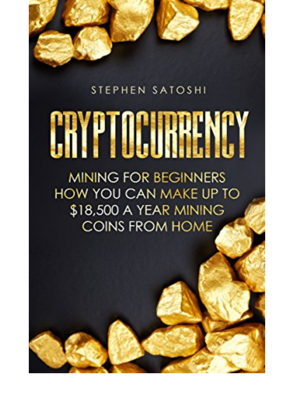## STEPHEN SATOSHI

## CRYPTOCURRENTY

**MINING FOR BEGINNERS HOW YOU CAN MAKE UP TO** \$18,500 A YEAR MINING **COINS FROM HOME**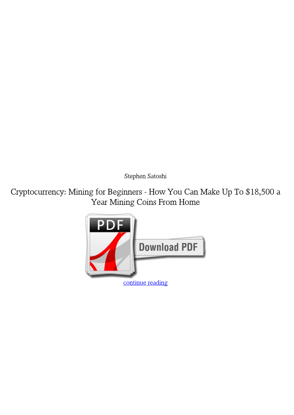*Stephen Satoshi*

**Cryptocurrency: Mining for Beginners - How You Can Make Up To \$18,500 a Year Mining Coins From Home**

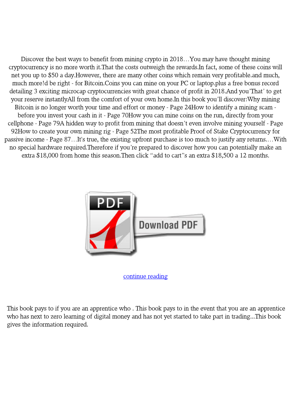Discover the best ways to benefit from mining crypto in 2018…You may have thought mining cryptocurrency is no more worth it.That the costs outweigh the rewards.In fact, some of these coins will net you up to \$50 a day.However, there are many other coins which remain very profitable.and much, much more!d be right - for Bitcoin.Coins you can mine on your PC or laptop.plus a free bonus record detailing 3 exciting microcap cryptocurrencies with great chance of profit in 2018.And you'That' to get your reserve instantlyAll from the comfort of your own home.In this book you'll discover:Why mining Bitcoin is no longer worth your time and effort or money - Page 24How to identify a mining scam before you invest your cash in it - Page 70How you can mine coins on the run, directly from your cellphone - Page 79A hidden way to profit from mining that doesn't even involve mining yourself - Page 92How to create your own mining rig - Page 52The most profitable Proof of Stake Cryptocurrency for passive income - Page 87…It's true, the existing upfront purchase is too much to justify any returns.…With no special hardware required.Therefore if you're prepared to discover how you can potentially make an extra \$18,000 from home this season.Then click "add to cart"s an extra \$18,500 a 12 months.



[continue reading](http://bit.ly/2Tge8Fv)

This book pays to if you are an apprentice who . This book pays to in the event that you are an apprentice who has next to zero learning of digital money and has not yet started to take part in trading...This book gives the information required.